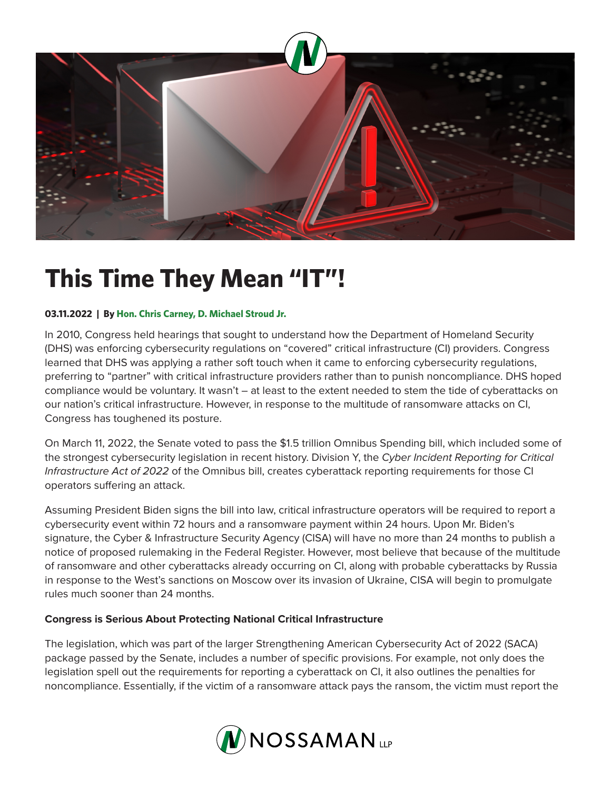

## **This Time They Mean "IT"!**

## **03.11.2022 | By Hon. Chris Carney, D. Michael Stroud Jr.**

In 2010, Congress held hearings that sought to understand how the Department of Homeland Security (DHS) was enforcing cybersecurity regulations on "covered" critical infrastructure (CI) providers. Congress learned that DHS was applying a rather soft touch when it came to enforcing cybersecurity regulations, preferring to "partner" with critical infrastructure providers rather than to punish noncompliance. DHS hoped compliance would be voluntary. It wasn't – at least to the extent needed to stem the tide of cyberattacks on our nation's critical infrastructure. However, in response to the multitude of ransomware attacks on CI, Congress has toughened its posture.

On March 11, 2022, the Senate voted to pass the \$1.5 trillion Omnibus Spending bill, which included some of the strongest cybersecurity legislation in recent history. Division Y, the *Cyber Incident Reporting for Critical Infrastructure Act of 2022* of the Omnibus bill, creates cyberattack reporting requirements for those CI operators suffering an attack.

Assuming President Biden signs the bill into law, critical infrastructure operators will be required to report a cybersecurity event within 72 hours and a ransomware payment within 24 hours. Upon Mr. Biden's signature, the Cyber & Infrastructure Security Agency (CISA) will have no more than 24 months to publish a notice of proposed rulemaking in the Federal Register. However, most believe that because of the multitude of ransomware and other cyberattacks already occurring on CI, along with probable cyberattacks by Russia in response to the West's sanctions on Moscow over its invasion of Ukraine, CISA will begin to promulgate rules much sooner than 24 months.

## **Congress is Serious About Protecting National Critical Infrastructure**

The legislation, which was part of the larger Strengthening American Cybersecurity Act of 2022 (SACA) package passed by the Senate, includes a number of specific provisions. For example, not only does the legislation spell out the requirements for reporting a cyberattack on CI, it also outlines the penalties for noncompliance. Essentially, if the victim of a ransomware attack pays the ransom, the victim must report the